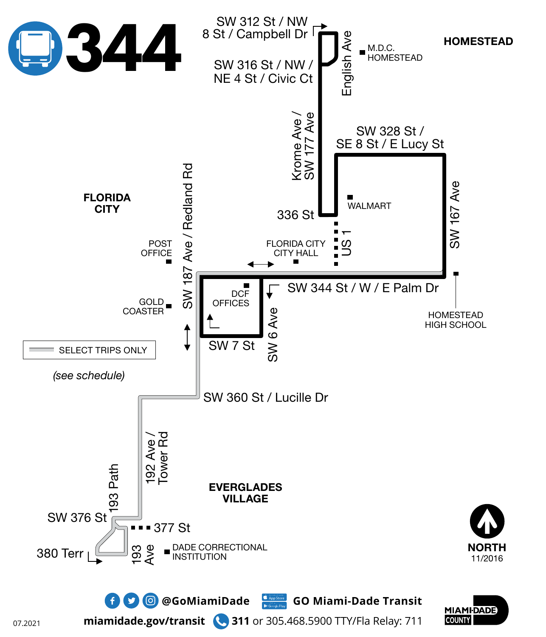